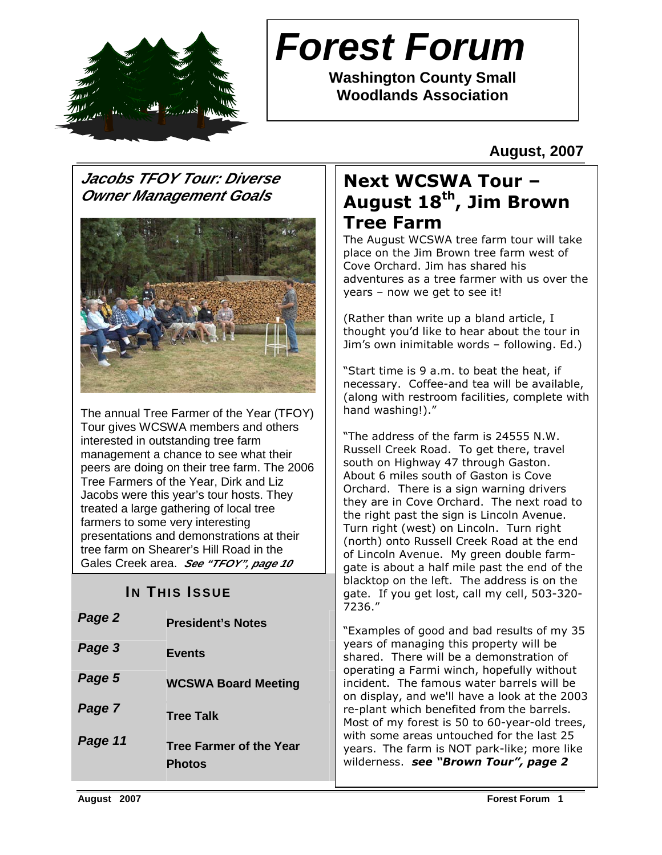

# **Forest Forum**

**Washington County Small Woodlands Association** 

**August, 2007** 

# **Jacobs TFOY Tour: Diverse Owner Management Goals**



The annual Tree Farmer of the Year (TFOY) Tour gives WCSWA members and others interested in outstanding tree farm management a chance to see what their peers are doing on their tree farm. The 2006 Tree Farmers of the Year, Dirk and Liz Jacobs were this year's tour hosts. They treated a large gathering of local tree farmers to some very interesting presentations and demonstrations at their tree farm on Shearer's Hill Road in the Gales Creek area. **See "TFOY", page 10**

# **IN THIS ISSUE**

| Page 2  | <b>President's Notes</b>                        |
|---------|-------------------------------------------------|
| Page 3  | <b>Events</b>                                   |
| Page 5  | <b>WCSWA Board Meeting</b>                      |
| Page 7  | <b>Tree Talk</b>                                |
| Page 11 | <b>Tree Farmer of the Year</b><br><b>Photos</b> |

# Next WCSWA Tour – August 18<sup>th</sup>, Jim Brown Tree Farm

The August WCSWA tree farm tour will take place on the Jim Brown tree farm west of Cove Orchard. Jim has shared his adventures as a tree farmer with us over the years – now we get to see it!

(Rather than write up a bland article, I thought you'd like to hear about the tour in Jim's own inimitable words – following. Ed.)

"Start time is 9 a.m. to beat the heat, if necessary. Coffee-and tea will be available, (along with restroom facilities, complete with hand washing!)."

"The address of the farm is 24555 N.W. Russell Creek Road. To get there, travel south on Highway 47 through Gaston. About 6 miles south of Gaston is Cove Orchard. There is a sign warning drivers they are in Cove Orchard. The next road to the right past the sign is Lincoln Avenue. Turn right (west) on Lincoln. Turn right (north) onto Russell Creek Road at the end of Lincoln Avenue. My green double farmgate is about a half mile past the end of the blacktop on the left. The address is on the gate. If you get lost, call my cell, 503-320- 7236."

"Examples of good and bad results of my 35 years of managing this property will be shared. There will be a demonstration of operating a Farmi winch, hopefully without incident. The famous water barrels will be on display, and we'll have a look at the 2003 re-plant which benefited from the barrels. Most of my forest is 50 to 60-year-old trees, with some areas untouched for the last 25 years. The farm is NOT park-like; more like wilderness. see "Brown Tour", page 2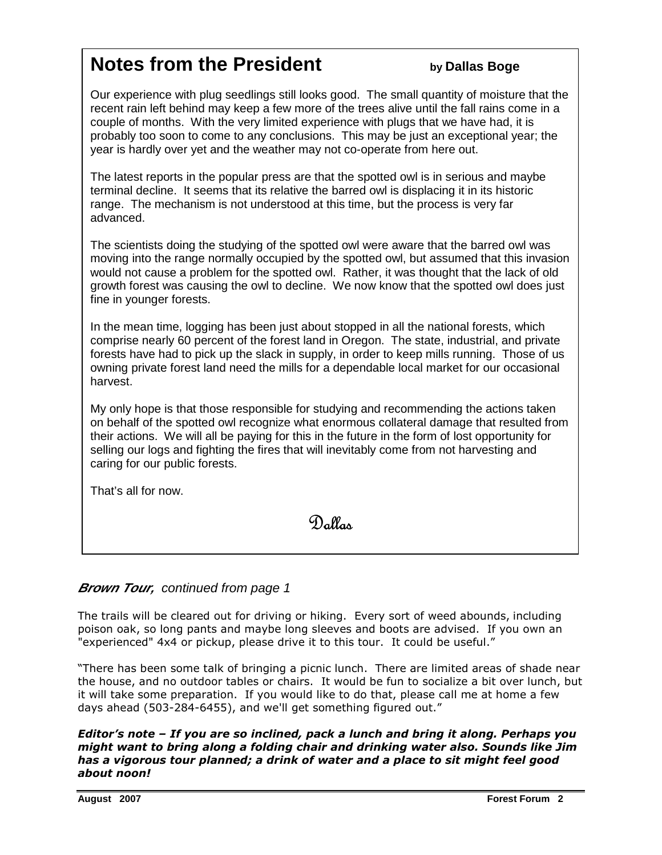# **Notes from the President by Dallas Boge**

Our experience with plug seedlings still looks good. The small quantity of moisture that the recent rain left behind may keep a few more of the trees alive until the fall rains come in a couple of months. With the very limited experience with plugs that we have had, it is probably too soon to come to any conclusions. This may be just an exceptional year; the year is hardly over yet and the weather may not co-operate from here out.

The latest reports in the popular press are that the spotted owl is in serious and maybe terminal decline. It seems that its relative the barred owl is displacing it in its historic range. The mechanism is not understood at this time, but the process is very far advanced.

The scientists doing the studying of the spotted owl were aware that the barred owl was moving into the range normally occupied by the spotted owl, but assumed that this invasion would not cause a problem for the spotted owl. Rather, it was thought that the lack of old growth forest was causing the owl to decline. We now know that the spotted owl does just fine in younger forests.

In the mean time, logging has been just about stopped in all the national forests, which comprise nearly 60 percent of the forest land in Oregon. The state, industrial, and private forests have had to pick up the slack in supply, in order to keep mills running. Those of us owning private forest land need the mills for a dependable local market for our occasional harvest.

My only hope is that those responsible for studying and recommending the actions taken on behalf of the spotted owl recognize what enormous collateral damage that resulted from their actions. We will all be paying for this in the future in the form of lost opportunity for selling our logs and fighting the fires that will inevitably come from not harvesting and caring for our public forests.

That's all for now.

Dallas

### **Brown Tour, continued from page 1**

The trails will be cleared out for driving or hiking. Every sort of weed abounds, including poison oak, so long pants and maybe long sleeves and boots are advised. If you own an "experienced" 4x4 or pickup, please drive it to this tour. It could be useful."

"There has been some talk of bringing a picnic lunch. There are limited areas of shade near the house, and no outdoor tables or chairs. It would be fun to socialize a bit over lunch, but it will take some preparation. If you would like to do that, please call me at home a few days ahead (503-284-6455), and we'll get something figured out."

Editor's note – If you are so inclined, pack a lunch and bring it along. Perhaps you might want to bring along a folding chair and drinking water also. Sounds like Jim has a vigorous tour planned; a drink of water and a place to sit might feel good about noon!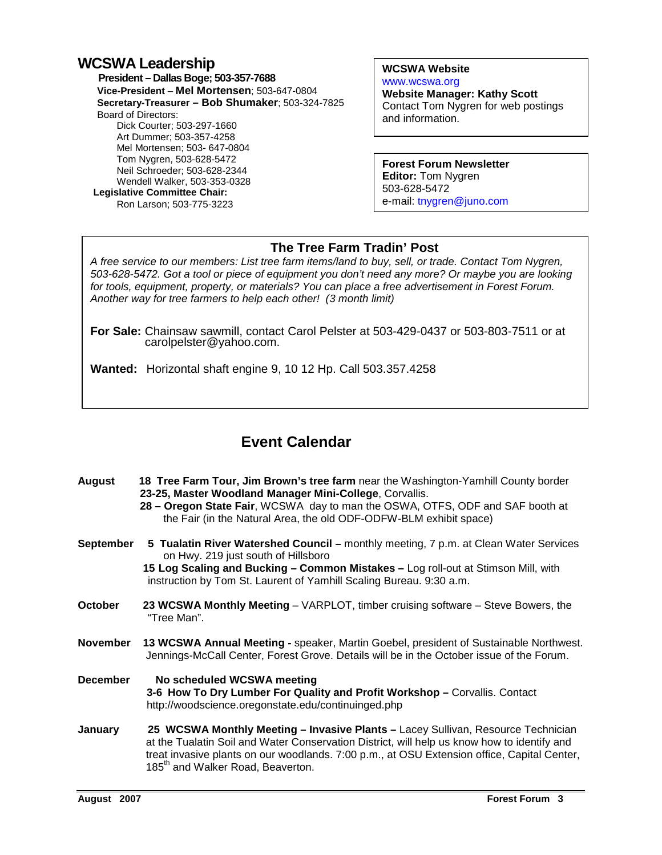## **WCSWA Leadership**

 **President – Dallas Boge; 503-357-7688 Vice-President** – **Mel Mortensen**; 503-647-0804 **Secretary-Treasurer – Bob Shumaker**; 503-324-7825 Board of Directors: Dick Courter; 503-297-1660 Art Dummer; 503-357-4258 Mel Mortensen; 503- 647-0804 Tom Nygren, 503-628-5472 Neil Schroeder; 503-628-2344 Wendell Walker, 503-353-0328  **Legislative Committee Chair:**  Ron Larson; 503-775-3223

**WCSWA Website** www.wcswa.org

**Website Manager: Kathy Scott** Contact Tom Nygren for web postings and information.

**Forest Forum Newsletter Editor:** Tom Nygren 503-628-5472 e-mail: tnygren@juno.com

### **The Tree Farm Tradin' Post**

 for tools, equipment, property, or materials? You can place a free advertisement in Forest Forum. A free service to our members: List tree farm items/land to buy, sell, or trade. Contact Tom Nygren, 503-628-5472. Got a tool or piece of equipment you don't need any more? Or maybe you are looking Another way for tree farmers to help each other! (3 month limit)

**For Sale:** Chainsaw sawmill, contact Carol Pelster at 503-429-0437 or 503-803-7511 or at carolpelster@yahoo.com.

**Wanted:** Horizontal shaft engine 9, 10 12 Hp. Call 503.357.4258

# **Event Calendar**

| <b>August</b>    | 18 Tree Farm Tour, Jim Brown's tree farm near the Washington-Yamhill County border<br>23-25, Master Woodland Manager Mini-College, Corvallis.<br>28 – Oregon State Fair, WCSWA day to man the OSWA, OTFS, ODF and SAF booth at<br>the Fair (in the Natural Area, the old ODF-ODFW-BLM exhibit space)                            |  |
|------------------|---------------------------------------------------------------------------------------------------------------------------------------------------------------------------------------------------------------------------------------------------------------------------------------------------------------------------------|--|
| <b>September</b> | 5 Tualatin River Watershed Council - monthly meeting, 7 p.m. at Clean Water Services<br>on Hwy. 219 just south of Hillsboro<br>15 Log Scaling and Bucking - Common Mistakes - Log roll-out at Stimson Mill, with<br>instruction by Tom St. Laurent of Yamhill Scaling Bureau. 9:30 a.m.                                         |  |
| <b>October</b>   | 23 WCSWA Monthly Meeting - VARPLOT, timber cruising software - Steve Bowers, the<br>"Tree Man".                                                                                                                                                                                                                                 |  |
| <b>November</b>  | 13 WCSWA Annual Meeting - speaker, Martin Goebel, president of Sustainable Northwest.<br>Jennings-McCall Center, Forest Grove. Details will be in the October issue of the Forum.                                                                                                                                               |  |
| <b>December</b>  | No scheduled WCSWA meeting<br>3-6 How To Dry Lumber For Quality and Profit Workshop - Corvallis. Contact<br>http://woodscience.oregonstate.edu/continuinged.php                                                                                                                                                                 |  |
| January          | 25 WCSWA Monthly Meeting - Invasive Plants - Lacey Sullivan, Resource Technician<br>at the Tualatin Soil and Water Conservation District, will help us know how to identify and<br>treat invasive plants on our woodlands. 7:00 p.m., at OSU Extension office, Capital Center,<br>185 <sup>th</sup> and Walker Road, Beaverton. |  |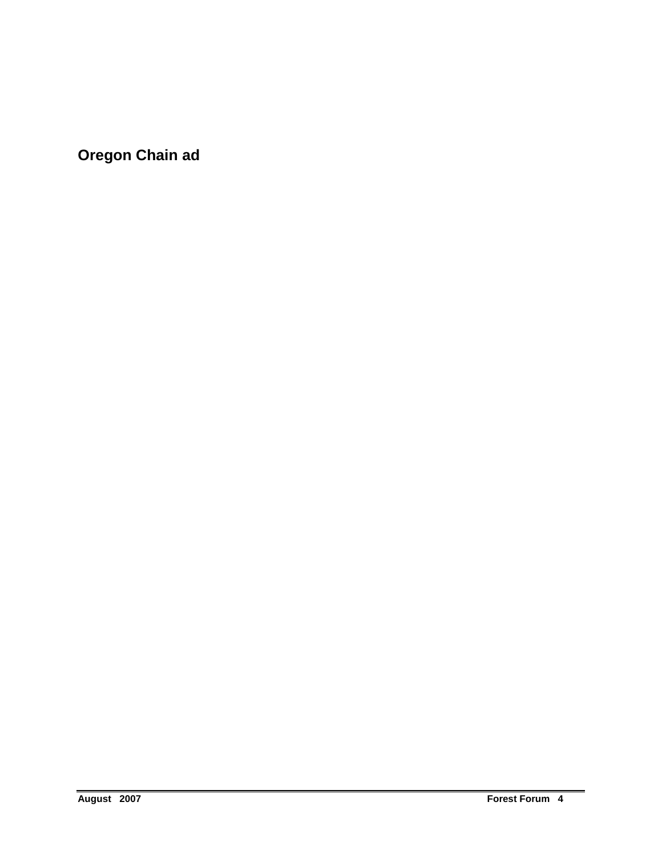**Oregon Chain ad**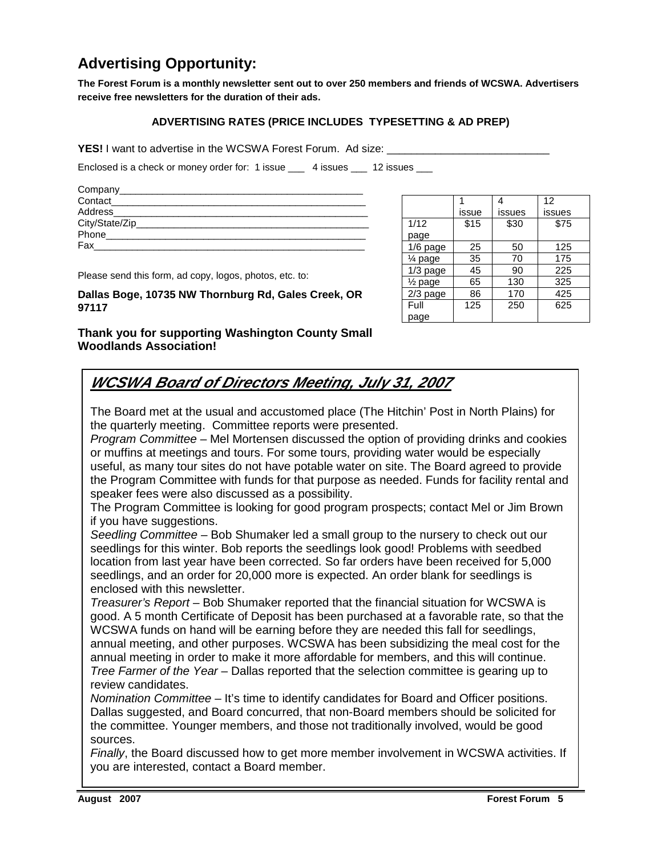# **Advertising Opportunity:**

**The Forest Forum is a monthly newsletter sent out to over 250 members and friends of WCSWA. Advertisers receive free newsletters for the duration of their ads.** 

#### **ADVERTISING RATES (PRICE INCLUDES TYPESETTING & AD PREP)**

**YES!** I want to advertise in the WCSWA Forest Forum. Ad size:

Enclosed is a check or money order for: 1 issue \_\_\_ 4 issues \_\_ 12 issues \_\_

| Company__________ |  |
|-------------------|--|
| Contact           |  |
| Address           |  |
| City/State/Zip_   |  |
| Phone             |  |
| Fax               |  |
|                   |  |

Please send this form, ad copy, logos, photos, etc. to:

**Dallas Boge, 10735 NW Thornburg Rd, Gales Creek, OR 97117** 

1 issue 4 issues 12 issues 1/12 page  $$15$   $$30$   $$75$ 1/6 page 25 50 125  $\frac{1}{4}$  page | 35 | 70 | 175  $\frac{1/3 \text{ page}}{1/2 \text{ page}}$  45 90 225<br> $\frac{1}{2} \text{ page}$  65 130 325  $\frac{1}{2}$  page 65 130 2/3 page 86 170 425 Full page 125 250 625

**Thank you for supporting Washington County Small Woodlands Association!** 

# **WCSWA Board of Directors Meeting, July 31, 2007**

The Board met at the usual and accustomed place (The Hitchin' Post in North Plains) for the quarterly meeting. Committee reports were presented.

Program Committee – Mel Mortensen discussed the option of providing drinks and cookies or muffins at meetings and tours. For some tours, providing water would be especially useful, as many tour sites do not have potable water on site. The Board agreed to provide the Program Committee with funds for that purpose as needed. Funds for facility rental and speaker fees were also discussed as a possibility.

The Program Committee is looking for good program prospects; contact Mel or Jim Brown if you have suggestions.

Seedling Committee – Bob Shumaker led a small group to the nursery to check out our seedlings for this winter. Bob reports the seedlings look good! Problems with seedbed location from last year have been corrected. So far orders have been received for 5,000 seedlings, and an order for 20,000 more is expected. An order blank for seedlings is enclosed with this newsletter.

Treasurer's Report – Bob Shumaker reported that the financial situation for WCSWA is good. A 5 month Certificate of Deposit has been purchased at a favorable rate, so that the WCSWA funds on hand will be earning before they are needed this fall for seedlings, annual meeting, and other purposes. WCSWA has been subsidizing the meal cost for the annual meeting in order to make it more affordable for members, and this will continue. Tree Farmer of the Year – Dallas reported that the selection committee is gearing up to review candidates.

Nomination Committee – It's time to identify candidates for Board and Officer positions. Dallas suggested, and Board concurred, that non-Board members should be solicited for the committee. Younger members, and those not traditionally involved, would be good sources.

Finally, the Board discussed how to get more member involvement in WCSWA activities. If you are interested, contact a Board member.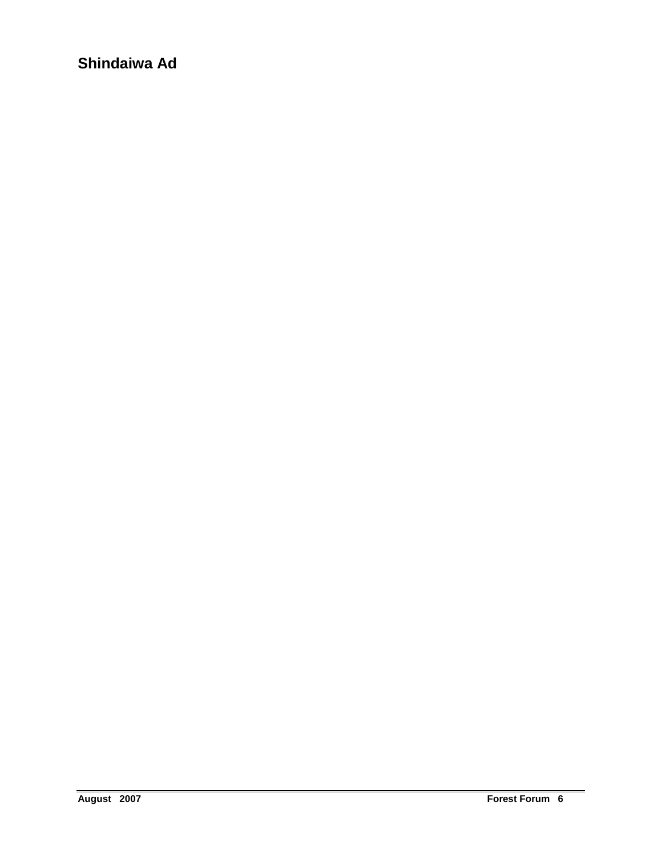**Shindaiwa Ad**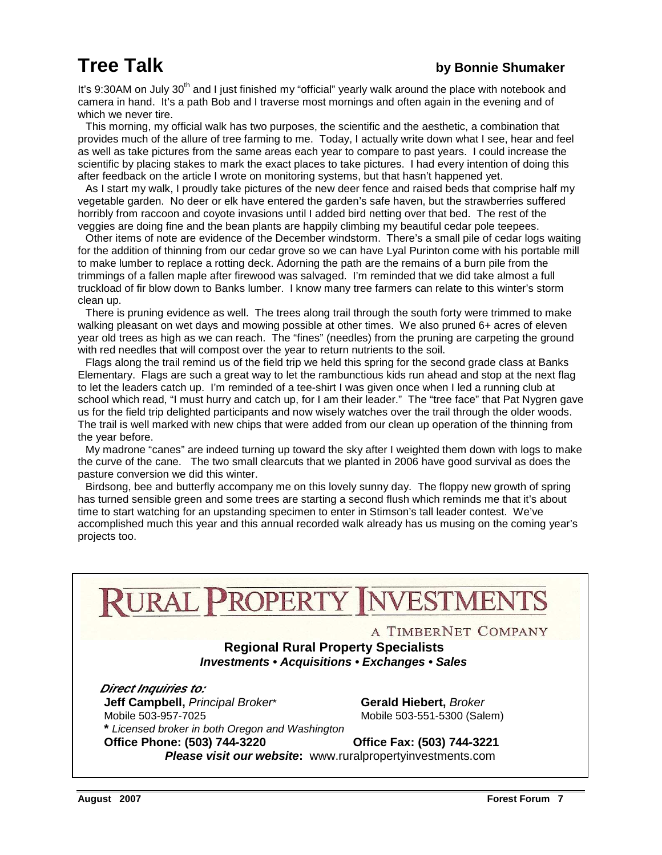It's 9:30AM on July 30<sup>th</sup> and I just finished my "official" yearly walk around the place with notebook and camera in hand. It's a path Bob and I traverse most mornings and often again in the evening and of which we never tire.

 This morning, my official walk has two purposes, the scientific and the aesthetic, a combination that provides much of the allure of tree farming to me. Today, I actually write down what I see, hear and feel as well as take pictures from the same areas each year to compare to past years. I could increase the scientific by placing stakes to mark the exact places to take pictures. I had every intention of doing this after feedback on the article I wrote on monitoring systems, but that hasn't happened yet.

 As I start my walk, I proudly take pictures of the new deer fence and raised beds that comprise half my vegetable garden. No deer or elk have entered the garden's safe haven, but the strawberries suffered horribly from raccoon and coyote invasions until I added bird netting over that bed. The rest of the veggies are doing fine and the bean plants are happily climbing my beautiful cedar pole teepees.

 Other items of note are evidence of the December windstorm. There's a small pile of cedar logs waiting for the addition of thinning from our cedar grove so we can have Lyal Purinton come with his portable mill to make lumber to replace a rotting deck. Adorning the path are the remains of a burn pile from the trimmings of a fallen maple after firewood was salvaged. I'm reminded that we did take almost a full truckload of fir blow down to Banks lumber. I know many tree farmers can relate to this winter's storm clean up.

 There is pruning evidence as well. The trees along trail through the south forty were trimmed to make walking pleasant on wet days and mowing possible at other times. We also pruned 6+ acres of eleven year old trees as high as we can reach. The "fines" (needles) from the pruning are carpeting the ground with red needles that will compost over the year to return nutrients to the soil.

 Flags along the trail remind us of the field trip we held this spring for the second grade class at Banks Elementary. Flags are such a great way to let the rambunctious kids run ahead and stop at the next flag to let the leaders catch up. I'm reminded of a tee-shirt I was given once when I led a running club at school which read, "I must hurry and catch up, for I am their leader." The "tree face" that Pat Nygren gave us for the field trip delighted participants and now wisely watches over the trail through the older woods. The trail is well marked with new chips that were added from our clean up operation of the thinning from the year before.

 My madrone "canes" are indeed turning up toward the sky after I weighted them down with logs to make the curve of the cane. The two small clearcuts that we planted in 2006 have good survival as does the pasture conversion we did this winter.

 Birdsong, bee and butterfly accompany me on this lovely sunny day. The floppy new growth of spring has turned sensible green and some trees are starting a second flush which reminds me that it's about time to start watching for an upstanding specimen to enter in Stimson's tall leader contest. We've accomplished much this year and this annual recorded walk already has us musing on the coming year's projects too.

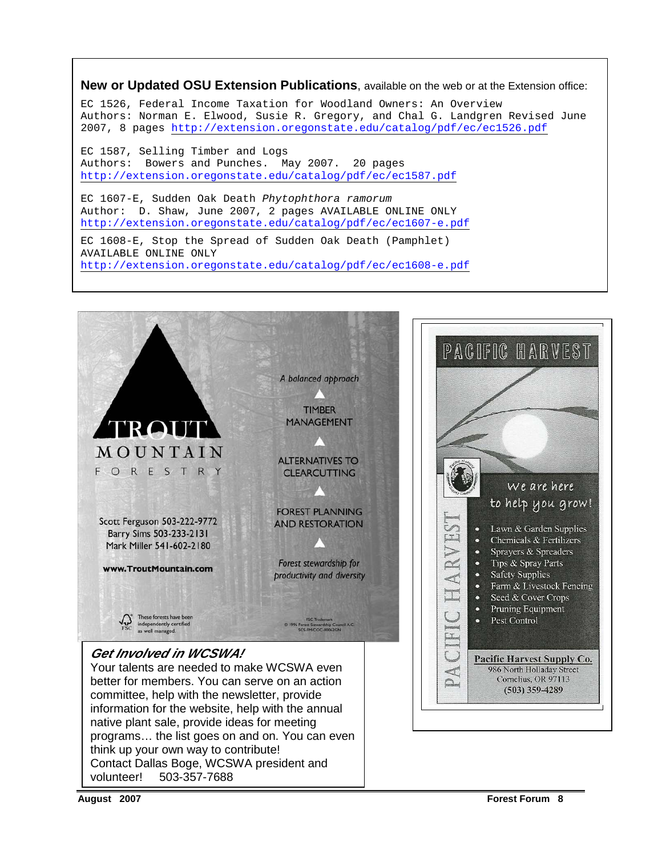#### **New or Updated OSU Extension Publications**, available on the web or at the Extension office:

EC 1526, Federal Income Taxation for Woodland Owners: An Overview Authors: Norman E. Elwood, Susie R. Gregory, and Chal G. Landgren Revised June 2007, 8 pages http://extension.oregonstate.edu/catalog/pdf/ec/ec1526.pdf

EC 1587, Selling Timber and Logs Authors: Bowers and Punches. May 2007. 20 pages http://extension.oregonstate.edu/catalog/pdf/ec/ec1587.pdf

EC 1607-E, Sudden Oak Death Phytophthora ramorum Author: D. Shaw, June 2007, 2 pages AVAILABLE ONLINE ONLY http://extension.oregonstate.edu/catalog/pdf/ec/ec1607-e.pdf

EC 1608-E, Stop the Spread of Sudden Oak Death (Pamphlet) AVAILABLE ONLINE ONLY http://extension.oregonstate.edu/catalog/pdf/ec/ec1608-e.pdf

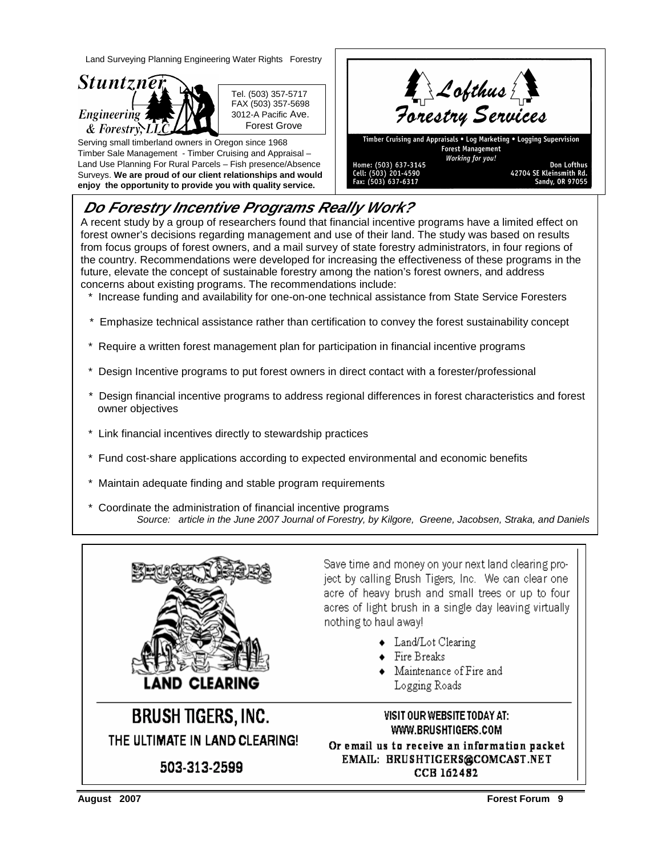Land Surveying Planning Engineering Water Rights Forestry



 Tel. (503) 357-5717 FAX (503) 357-5698 3012-A Pacific Ave. Forest Grove

Serving small timberland owners in Oregon since 1968 Timber Sale Management - Timber Cruising and Appraisal – Land Use Planning For Rural Parcels – Fish presence/Absence Surveys. **We are proud of our client relationships and would enjoy the opportunity to provide you with quality service.** 



# **Do Forestry Incentive Programs Really Work?**

A recent study by a group of researchers found that financial incentive programs have a limited effect on forest owner's decisions regarding management and use of their land. The study was based on results from focus groups of forest owners, and a mail survey of state forestry administrators, in four regions of the country. Recommendations were developed for increasing the effectiveness of these programs in the future, elevate the concept of sustainable forestry among the nation's forest owners, and address concerns about existing programs. The recommendations include:

- \* Increase funding and availability for one-on-one technical assistance from State Service Foresters
- \* Emphasize technical assistance rather than certification to convey the forest sustainability concept
- Require a written forest management plan for participation in financial incentive programs
- Design Incentive programs to put forest owners in direct contact with a forester/professional
- Design financial incentive programs to address regional differences in forest characteristics and forest owner objectives
- Link financial incentives directly to stewardship practices
- Fund cost-share applications according to expected environmental and economic benefits
- Maintain adequate finding and stable program requirements
- Coordinate the administration of financial incentive programs Source: article in the June 2007 Journal of Forestry, by Kilgore, Greene, Jacobsen, Straka, and Daniels



**BRUSH TIGERS, INC.** THE ULTIMATE IN LAND CLEARING!

503-313-2599

Save time and money on your next land clearing project by calling Brush Tigers, Inc. We can clear one acre of heavy brush and small trees or up to four acres of light brush in a single day leaving virtually nothing to haul away!

- Land/Lot Clearing
- $\bullet$  Fire Breaks
- Maintenance of Fire and
	- Logging Roads

VISIT OUR WEBSITE TODAY AT: WWW.BRUSHTIGERS.COM Or email us to receive an information packet EMAIL: BRUSHTIGERS@COMCAST.NET CCB 162482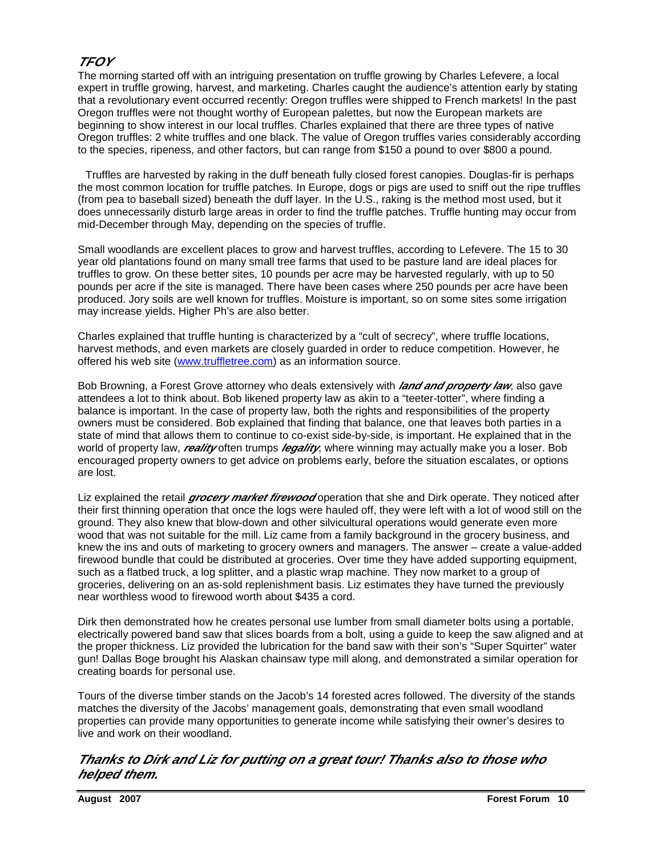# **TFOY**

The morning started off with an intriguing presentation on truffle growing by Charles Lefevere, a local expert in truffle growing, harvest, and marketing. Charles caught the audience's attention early by stating that a revolutionary event occurred recently: Oregon truffles were shipped to French markets! In the past Oregon truffles were not thought worthy of European palettes, but now the European markets are beginning to show interest in our local truffles. Charles explained that there are three types of native Oregon truffles: 2 white truffles and one black. The value of Oregon truffles varies considerably according to the species, ripeness, and other factors, but can range from \$150 a pound to over \$800 a pound.

 Truffles are harvested by raking in the duff beneath fully closed forest canopies. Douglas-fir is perhaps the most common location for truffle patches. In Europe, dogs or pigs are used to sniff out the ripe truffles (from pea to baseball sized) beneath the duff layer. In the U.S., raking is the method most used, but it does unnecessarily disturb large areas in order to find the truffle patches. Truffle hunting may occur from mid-December through May, depending on the species of truffle.

Small woodlands are excellent places to grow and harvest truffles, according to Lefevere. The 15 to 30 year old plantations found on many small tree farms that used to be pasture land are ideal places for truffles to grow. On these better sites, 10 pounds per acre may be harvested regularly, with up to 50 pounds per acre if the site is managed. There have been cases where 250 pounds per acre have been produced. Jory soils are well known for truffles. Moisture is important, so on some sites some irrigation may increase yields. Higher Ph's are also better.

Charles explained that truffle hunting is characterized by a "cult of secrecy", where truffle locations, harvest methods, and even markets are closely guarded in order to reduce competition. However, he offered his web site (www.truffletree.com) as an information source.

Bob Browning, a Forest Grove attorney who deals extensively with **land and property law**, also gave attendees a lot to think about. Bob likened property law as akin to a "teeter-totter", where finding a balance is important. In the case of property law, both the rights and responsibilities of the property owners must be considered. Bob explained that finding that balance, one that leaves both parties in a state of mind that allows them to continue to co-exist side-by-side, is important. He explained that in the world of property law, *reality* often trumps *legality*, where winning may actually make you a loser. Bob encouraged property owners to get advice on problems early, before the situation escalates, or options are lost.

Liz explained the retail *grocery market firewood* operation that she and Dirk operate. They noticed after their first thinning operation that once the logs were hauled off, they were left with a lot of wood still on the ground. They also knew that blow-down and other silvicultural operations would generate even more wood that was not suitable for the mill. Liz came from a family background in the grocery business, and knew the ins and outs of marketing to grocery owners and managers. The answer – create a value-added firewood bundle that could be distributed at groceries. Over time they have added supporting equipment, such as a flatbed truck, a log splitter, and a plastic wrap machine. They now market to a group of groceries, delivering on an as-sold replenishment basis. Liz estimates they have turned the previously near worthless wood to firewood worth about \$435 a cord.

Dirk then demonstrated how he creates personal use lumber from small diameter bolts using a portable, electrically powered band saw that slices boards from a bolt, using a guide to keep the saw aligned and at the proper thickness. Liz provided the lubrication for the band saw with their son's "Super Squirter" water gun! Dallas Boge brought his Alaskan chainsaw type mill along, and demonstrated a similar operation for creating boards for personal use.

Tours of the diverse timber stands on the Jacob's 14 forested acres followed. The diversity of the stands matches the diversity of the Jacobs' management goals, demonstrating that even small woodland properties can provide many opportunities to generate income while satisfying their owner's desires to live and work on their woodland.

#### **Thanks to Dirk and Liz for putting on a great tour! Thanks also to those who helped them.**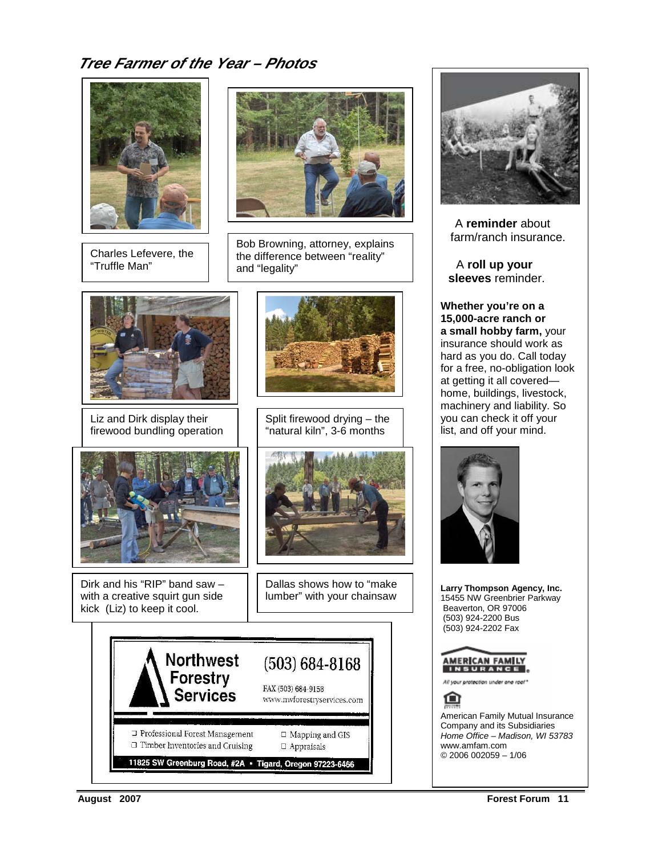# **Tree Farmer of the Year – Photos**